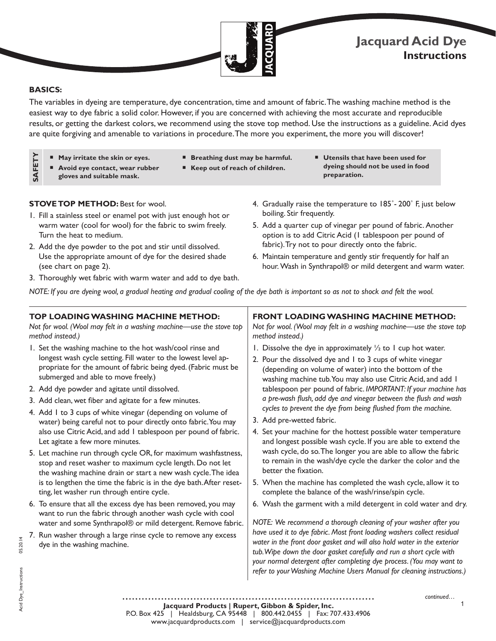

# **Jacquard Acid Dye Instructions**

# **BASICS:**

**SAFETY**

SAFETY

The variables in dyeing are temperature, dye concentration, time and amount of fabric. The washing machine method is the easiest way to dye fabric a solid color. However, if you are concerned with achieving the most accurate and reproducible results, or getting the darkest colors, we recommend using the stove top method. Use the instructions as a guideline. Acid dyes are quite forgiving and amenable to variations in procedure. The more you experiment, the more you will discover!

- May irritate the skin or eyes.
- **Breathing dust may be harmful.**
- **Avoid eye contact, wear rubber gloves and suitable mask.**
- Keep out of reach of children.
- **Utensils that have been used for dyeing should not be used in food preparation.**

# **STOVE TOP METHOD: Best for wool.**

- 1. Fill a stainless steel or enamel pot with just enough hot or warm water (cool for wool) for the fabric to swim freely. Turn the heat to medium.
- 2. Add the dye powder to the pot and stir until dissolved. Use the appropriate amount of dye for the desired shade (see chart on page 2).
- 3. Thoroughly wet fabric with warm water and add to dye bath.

water and some Synthrapol® or mild detergent. Remove fabric. 7. Run washer through a large rinse cycle to remove any excess

dye in the washing machine.

- 4. Gradually raise the temperature to 185°-200° F, just below boiling. Stir frequently.
- 5. Add a quarter cup of vinegar per pound of fabric. Another option is to add Citric Acid (1 tablespoon per pound of fabric). Try not to pour directly onto the fabric.
- 6. Maintain temperature and gently stir frequently for half an hour. Wash in Synthrapol® or mild detergent and warm water.

*NOTE: If you are dyeing wool, a gradual heating and gradual cooling of the dye bath is important so as not to shock and felt the wool.*

#### **TOP LOADING WASHING MACHINE METHOD:**  *Not for wool. (Wool may felt in a washing machine—use the stove top method instead.)* 1. Set the washing machine to the hot wash/cool rinse and longest wash cycle setting. Fill water to the lowest level appropriate for the amount of fabric being dyed. (Fabric must be submerged and able to move freely.) 2. Add dye powder and agitate until dissolved. 3. Add clean, wet fiber and agitate for a few minutes. 4. Add 1 to 3 cups of white vinegar (depending on volume of water) being careful not to pour directly onto fabric. You may also use Citric Acid, and add 1 tablespoon per pound of fabric. Let agitate a few more minutes. 5. Let machine run through cycle OR, for maximum washfastness, stop and reset washer to maximum cycle length. Do not let the washing machine drain or start a new wash cycle. The idea is to lengthen the time the fabric is in the dye bath. After resetting, let washer run through entire cycle. 6. To ensure that all the excess dye has been removed, you may want to run the fabric through another wash cycle with cool **FRONT LOADING WASHING MACHINE METHOD:** *Not for wool. (Wool may felt in a washing machine—use the stove top method instead.)* 1. Dissolve the dye in approximately  $\frac{1}{2}$  to 1 cup hot water. 2. Pour the dissolved dye and 1 to 3 cups of white vinegar (depending on volume of water) into the bottom of the washing machine tub. You may also use Citric Acid, and add 1 tablespoon per pound of fabric. *IMPORTANT: If your machine has a pre-wash flush, add dye and vinegar between the flush and wash cycles to prevent the dye from being flushed from the machine.*  3. Add pre-wetted fabric. 4. Set your machine for the hottest possible water temperature and longest possible wash cycle. If you are able to extend the wash cycle, do so. The longer you are able to allow the fabric to remain in the wash/dye cycle the darker the color and the better the fixation. 5. When the machine has completed the wash cycle, allow it to complete the balance of the wash/rinse/spin cycle. 6. Wash the garment with a mild detergent in cold water and dry.

*NOTE: We recommend a thorough cleaning of your washer after you*  have used it to dye fabric. Most front loading washers collect residual *water in the front door gasket and will also hold water in the exterior tub. Wipe down the door gasket carefully and run a short cycle with your normal detergent after completing dye process. (You may want to refer to your Washing Machine Users Manual for cleaning instructions.)*

**Jacquard Products | Rupert, Gibbon & Spider, Inc.** P.O. Box 425 | Healdsburg, CA 95448 | 800.442.0455 | Fax: 707.433.4906 www.jacquardproducts.com | service@jacquardproducts.com

1